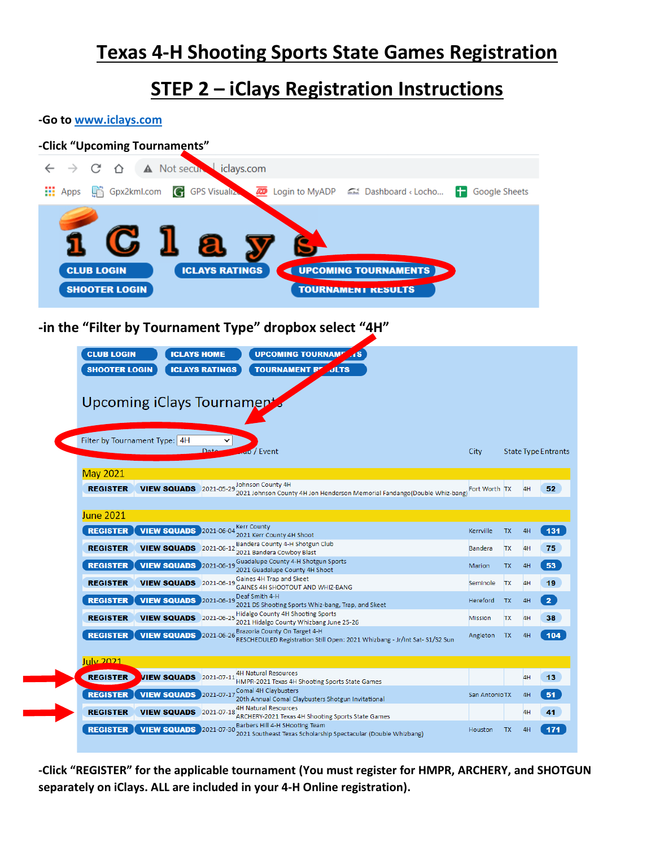# **Texas 4-H Shooting Sports State Games Registration**

### **STEP 2 – iClays Registration Instructions**

#### **-Go to [www.iclays.com](http://www.iclays.com/)**



| REGISTER          | <b>VIEW SQUADS</b> 2021-05-29            | 2021 Johnson County 4H Jon Henderson Memorial Fandango(Double Whiz-bang)                                    | <b>Fort Worth TX</b> |           | 4H | 52.            |
|-------------------|------------------------------------------|-------------------------------------------------------------------------------------------------------------|----------------------|-----------|----|----------------|
| <b>June 2021</b>  |                                          |                                                                                                             |                      |           |    |                |
|                   | <b>REGISTER VIEW SQUADS</b> 2021-06-04   | <b>Kerr County</b><br>2021 Kerr County 4H Shoot                                                             | Kerrville            | <b>TX</b> | 4H | $131$          |
| <b>REGISTER</b>   | <b>VIEW SQUADS</b> 2021-06-12            | Bandera County 4-H Shotgun Club<br>2021 Bandera Cowboy Blast                                                | <b>Bandera</b>       | <b>TX</b> | 4H | 75             |
|                   | <b>REGISTER   VIEW SQUADS</b> 2021-06-19 | Guadalupe County 4-H Shotgun Sports<br>2021 Guadalupe County 4H Shoot                                       | <b>Marion</b>        | <b>TX</b> | 4H | 53             |
| <b>REGISTER</b>   | <b>VIEW SQUADS</b> 2021-06-19            | Gaines 4H Trap and Skeet<br>GAINES 4H SHOOTOUT AND WHIZ-BANG                                                | Seminole             | <b>TX</b> | 4H | 19             |
| <b>REGISTER</b>   | <b>VIEW SQUADS</b> 2021-06-19            | Deaf Smith 4-H<br>2021 DS Shooting Sports Whiz-bang, Trap, and Skeet                                        | Hereford             | <b>TX</b> | 4H | 2 <sup>7</sup> |
| <b>REGISTER</b>   | <b>VIEW SQUADS</b> 2021-06-25            | Hidalgo County 4H Shooting Sports<br>2021 Hidalgo County Whizbang June 25-26                                | <b>Mission</b>       | <b>TX</b> | 4H | 38             |
| <b>REGISTER</b>   | <b>VIEW SQUADS</b> 2021-06-26            | Brazoria County On Target 4-H<br>RESCHEDULED Registration Still Open: 2021 Whizbang - Jr/Int Sat- S1/S2 Sun | Angleton             | <b>TX</b> | 4H | 104            |
| July 2021         |                                          |                                                                                                             |                      |           |    |                |
|                   |                                          | <b>4H Natural Resources</b>                                                                                 |                      |           |    |                |
| <b>REGISTER</b>   | <b>VIEW SQUADS</b> 2021-07-11            | HMPR-2021 Texas 4H Shooting Sports State Games                                                              |                      |           | 4H | 13             |
| <b>REGISTER</b>   | <b>VIEW SQUADS</b> 2021-07-17            | Comal 4H Claybusters<br>20th Annual Comal Claybusters Shotgun Invitational                                  | San AntonioTX        |           | 4H | 51             |
| <b>REGISTER</b>   | <b>VIEW SQUADS</b> 2021-07-18            | <b>4H Natural Resources</b><br>ARCHERY-2021 Texas 4H Shooting Sports State Games                            |                      |           | 4H | 41             |
| <b>REGISTER</b> I | <b>VIEW SQUADS</b> 2021-07-30            | Barbers Hill 4-H SHooting Team                                                                              | Houston              | <b>TX</b> | 4H | 171            |

**-Click "REGISTER" for the applicable tournament (You must register for HMPR, ARCHERY, and SHOTGUN separately on iClays. ALL are included in your 4-H Online registration).**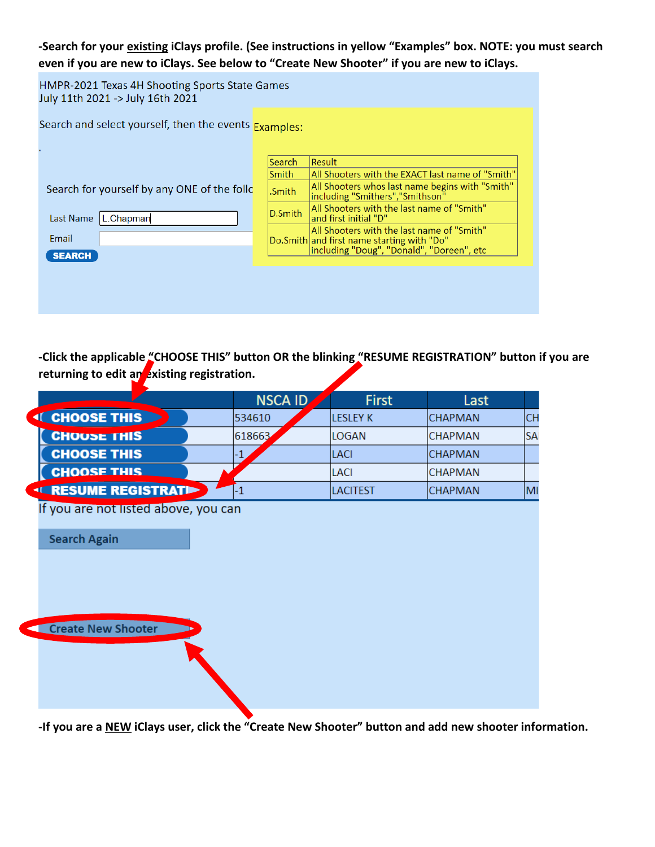#### **-Search for your existing iClays profile. (See instructions in yellow "Examples" box. NOTE: you must search even if you are new to iClays. See below to "Create New Shooter" if you are new to iClays.**

HMPR-2021 Texas 4H Shooting Sports State Games July 11th 2021 -> July 16th 2021

Search and select yourself, then the events Examples:

Search for yourself by any ONE of the

Last Name L.Chapman

Email **SEARCH** 

|         | Search  | Result                                                                                   |
|---------|---------|------------------------------------------------------------------------------------------|
|         | Smith   | All Shooters with the EXACT last name of "Smith"                                         |
| e follc | .Smith  | All Shooters whos last name begins with "Smith"<br>including "Smithers", "Smithson"      |
|         | D.Smith | All Shooters with the last name of "Smith"<br>and first initial "D"                      |
|         |         | All Shooters with the last name of "Smith"<br>Do.Smith and first name starting with "Do" |
|         |         | including "Doug", "Donald", "Doreen", etc                                                |

**-Click the applicable "CHOOSE THIS" button OR the blinking "RESUME REGISTRATION" button if you are returning to edit an existing registration.**

|                                                             | <b>NSCA ID</b> | <b>First</b>    | Last           |           |
|-------------------------------------------------------------|----------------|-----------------|----------------|-----------|
| <sup>4</sup> CHOOSE THIS                                    | 534610         | <b>LESLEY K</b> | <b>CHAPMAN</b> | <b>CH</b> |
| <b>CHOOSE THIS</b>                                          | 618663         | <b>LOGAN</b>    | <b>CHAPMAN</b> | <b>SA</b> |
| <b>CHOOSE THIS</b>                                          | 1              | <b>LACI</b>     | <b>CHAPMAN</b> |           |
| <b>CHOOSE THIS</b>                                          |                | <b>LACI</b>     | <b>CHAPMAN</b> |           |
| <b>ELESUME REGISTRATION</b>                                 | $-1$           | <b>LACITEST</b> | <b>CHAPMAN</b> | MI        |
| If you are not listed above, you can<br><b>Search Again</b> |                |                 |                |           |
| Create New Shooter                                          |                |                 |                |           |

**-If you are a NEW iClays user, click the "Create New Shooter" button and add new shooter information.**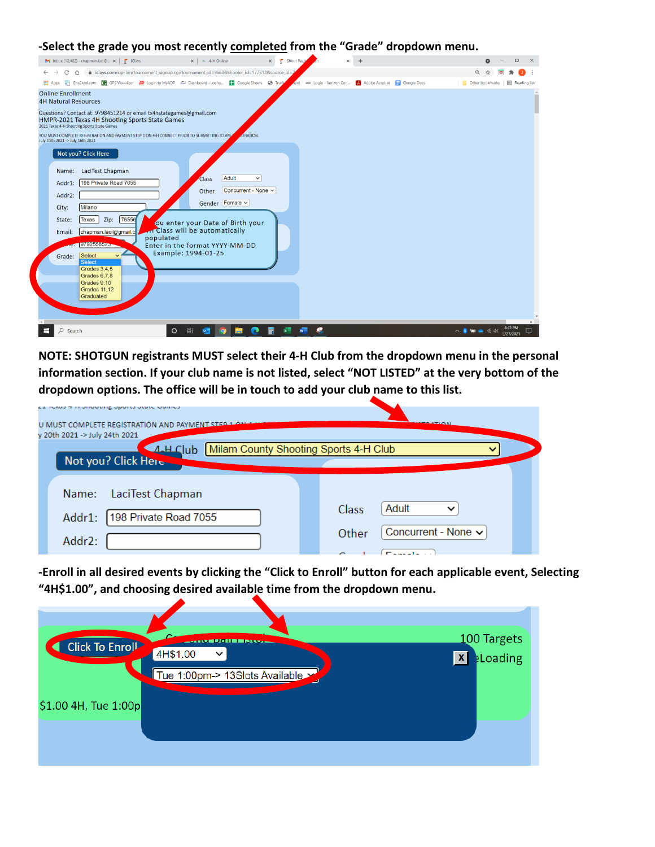**-Select the grade you most recently completed from the "Grade" dropdown menu.**



**NOTE: SHOTGUN registrants MUST select their 4-H Club from the dropdown menu in the personal information section. If your club name is not listed, select "NOT LISTED" at the very bottom of the dropdown options. The office will be in touch to add your club name to this list.**

| <b>CA TUAGE TITE UNIVOLINE UNOTER UNION COMMUNI</b> |                                       |
|-----------------------------------------------------|---------------------------------------|
| U MUST COMPLETE REGISTRATION AND PAYMENT STEP       | <b>ATION</b>                          |
| v 20th 2021 -> July 24th 2021                       |                                       |
| A.HClub<br>Not you? Click Here                      | Milam County Shooting Sports 4-H Club |
|                                                     |                                       |
| LaciTest Chapman<br>Name:                           |                                       |
| 198 Private Road 7055<br>Addr1:                     | Adult<br>Class                        |
| Addr2:                                              | Concurrent - None v<br>Other          |
|                                                     | . .                                   |

**-Enroll in all desired events by clicking the "Click to Enroll" button for each applicable event, Selecting "4H\$1.00", and choosing desired available time from the dropdown menu.**

| Click To Enroll      | u<br><b>CHEMINIAN DE PARAIS</b><br>4H\$1.00<br>$\checkmark$ | 100 Targets                     |
|----------------------|-------------------------------------------------------------|---------------------------------|
| \$1.00 4H, Tue 1:00p | Tue 1:00pm-> 13Slots Available                              | <b>ELoading</b><br>$\mathbf{x}$ |
|                      |                                                             |                                 |